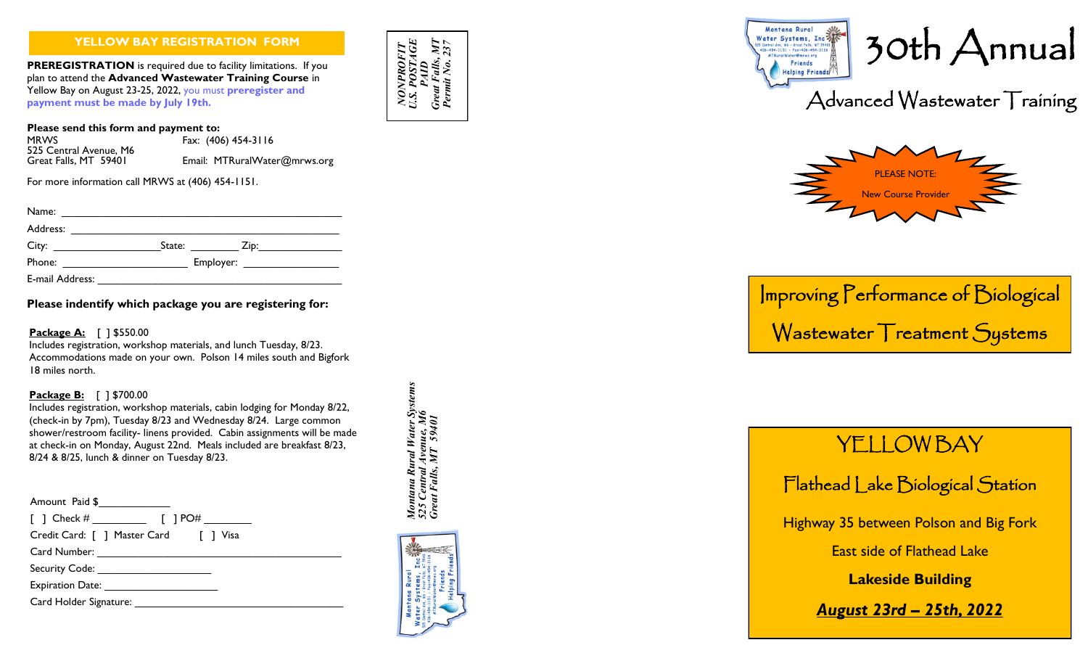#### **YELLOW BAY REGISTRATION FORM**

**PREREGISTRATION** is required due to facility limitations. If you plan to attend the **Advanced Wastewater Training Course** in Yellow Bay on August 23 -25, 2022, you must **preregister and payment must be made by July 19th.**

**Please send this form and payment to:**

525 Central Avenue, M6<br>Great Falls, MT 59401

MRWS Fax: (406) 454 -3116 Email: MTRuralWater@mrws.org

For more information call MRWS at (406) 454-1151.

| Name:           |                                                                                     |                   |  |
|-----------------|-------------------------------------------------------------------------------------|-------------------|--|
| Address:        |                                                                                     |                   |  |
| City:           | State:                                                                              | $\mathsf{Zip:}\n$ |  |
| Phone:          | Employer: ___________________<br><u> 1980 - John Stein, Amerikaansk politiker (</u> |                   |  |
| E-mail Address: |                                                                                     |                   |  |

**Please indentify which package you are registering for:**

#### **Package A:** [ ] \$550.00

Includes registration, workshop materials, and lunch Tuesday, 8/23. Accommodations made on your own. Polson 14 miles south and Bigfork 18 miles north.

#### **Package B:** [ ] \$700.00

Includes registration, workshop materials, cabin lodging for Monday 8/22, (check -in by 7pm), Tuesday 8/23 and Wednesday 8/24. Large common shower/restroom facility - linens provided. Cabin assignments will be made at check -in on Monday, August 22nd. Meals included are breakfast 8/23, 8/24 & 8/25, lunch & dinner on Tuesday 8/23.

| Amount Paid \$                                                                                                |
|---------------------------------------------------------------------------------------------------------------|
|                                                                                                               |
| Credit Card: [ ] Master Card [ ] Visa                                                                         |
|                                                                                                               |
| Security Code: ______________________                                                                         |
| Expiration Date: Natural Property of the Second Property of the Second Property of the Second Property of the |
| Card Holder Signature:                                                                                        |







# Improving Performance of Biological Wastewater Treatment Systems

# **YELLOW BAY**

Flathead Lake Biological Station

Highway 35 between Polson and Big Fork

East side of Flathead Lake

**Lakeside Building**

*August 23rd – 25th, 2022*